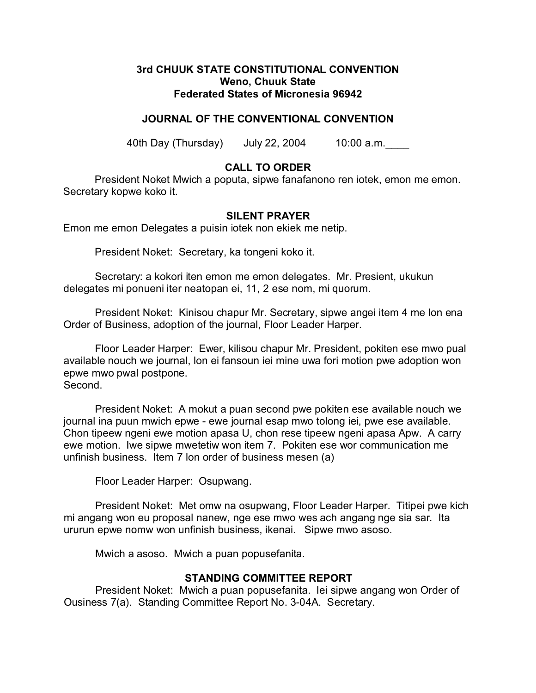### **3rd CHUUK STATE CONSTITUTIONAL CONVENTION Weno, Chuuk State Federated States of Micronesia 96942**

## **JOURNAL OF THE CONVENTIONAL CONVENTION**

40th Day (Thursday) July 22, 2004 10:00 a.m.\_\_\_\_

# **CALL TO ORDER**

President Noket Mwich a poputa, sipwe fanafanono ren iotek, emon me emon. Secretary kopwe koko it.

### **SILENT PRAYER**

Emon me emon Delegates a puisin iotek non ekiek me netip.

President Noket: Secretary, ka tongeni koko it.

Secretary: a kokori iten emon me emon delegates. Mr. Presient, ukukun delegates mi ponueni iter neatopan ei, 11, 2 ese nom, mi quorum.

President Noket: Kinisou chapur Mr. Secretary, sipwe angei item 4 me lon ena Order of Business, adoption of the journal, Floor Leader Harper.

Floor Leader Harper: Ewer, kilisou chapur Mr. President, pokiten ese mwo pual available nouch we journal, lon ei fansoun iei mine uwa fori motion pwe adoption won epwe mwo pwal postpone. Second.

President Noket: A mokut a puan second pwe pokiten ese available nouch we journal ina puun mwich epwe - ewe journal esap mwo tolong iei, pwe ese available. Chon tipeew ngeni ewe motion apasa U, chon rese tipeew ngeni apasa Apw. A carry ewe motion. Iwe sipwe mwetetiw won item 7. Pokiten ese wor communication me unfinish business. Item 7 lon order of business mesen (a)

Floor Leader Harper: Osupwang.

President Noket: Met omw na osupwang, Floor Leader Harper. Titipei pwe kich mi angang won eu proposal nanew, nge ese mwo wes ach angang nge sia sar. Ita ururun epwe nomw won unfinish business, ikenai. Sipwe mwo asoso.

Mwich a asoso. Mwich a puan popusefanita.

#### **STANDING COMMITTEE REPORT**

President Noket: Mwich a puan popusefanita. Iei sipwe angang won Order of Ousiness 7(a). Standing Committee Report No. 3-04A. Secretary.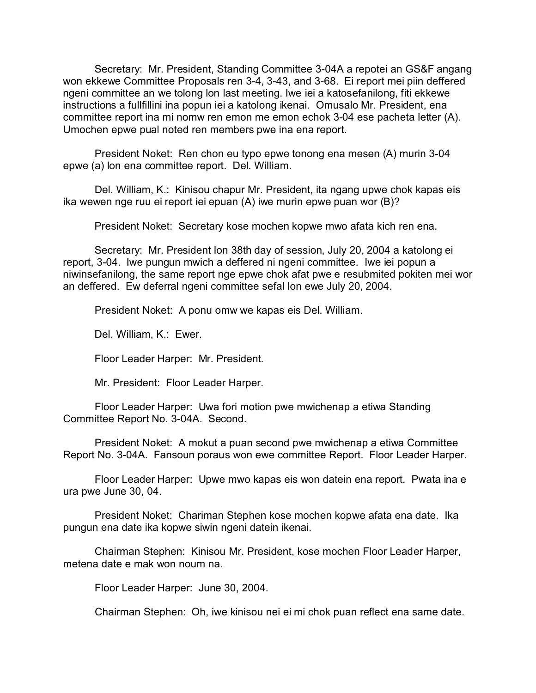Secretary: Mr. President, Standing Committee 3-04A a repotei an GS&F angang won ekkewe Committee Proposals ren 3-4, 3-43, and 3-68. Ei report mei piin deffered ngeni committee an we tolong lon last meeting. Iwe iei a katosefanilong, fiti ekkewe instructions a fullfillini ina popun iei a katolong ikenai. Omusalo Mr. President, ena committee report ina mi nomw ren emon me emon echok 3-04 ese pacheta letter (A). Umochen epwe pual noted ren members pwe ina ena report.

President Noket: Ren chon eu typo epwe tonong ena mesen (A) murin 3-04 epwe (a) lon ena committee report. Del. William.

Del. William, K.: Kinisou chapur Mr. President, ita ngang upwe chok kapas eis ika wewen nge ruu ei report iei epuan (A) iwe murin epwe puan wor (B)?

President Noket: Secretary kose mochen kopwe mwo afata kich ren ena.

Secretary: Mr. President lon 38th day of session, July 20, 2004 a katolong ei report, 3-04. Iwe pungun mwich a deffered ni ngeni committee. Iwe iei popun a niwinsefanilong, the same report nge epwe chok afat pwe e resubmited pokiten mei wor an deffered. Ew deferral ngeni committee sefal lon ewe July 20, 2004.

President Noket: A ponu omw we kapas eis Del. William.

Del. William, K.: Ewer.

Floor Leader Harper: Mr. President.

Mr. President: Floor Leader Harper.

Floor Leader Harper: Uwa fori motion pwe mwichenap a etiwa Standing Committee Report No. 3-04A. Second.

President Noket: A mokut a puan second pwe mwichenap a etiwa Committee Report No. 3-04A. Fansoun poraus won ewe committee Report. Floor Leader Harper.

Floor Leader Harper: Upwe mwo kapas eis won datein ena report. Pwata ina e ura pwe June 30, 04.

President Noket: Chariman Stephen kose mochen kopwe afata ena date. Ika pungun ena date ika kopwe siwin ngeni datein ikenai.

Chairman Stephen: Kinisou Mr. President, kose mochen Floor Leader Harper, metena date e mak won noum na.

Floor Leader Harper: June 30, 2004.

Chairman Stephen: Oh, iwe kinisou nei ei mi chok puan reflect ena same date.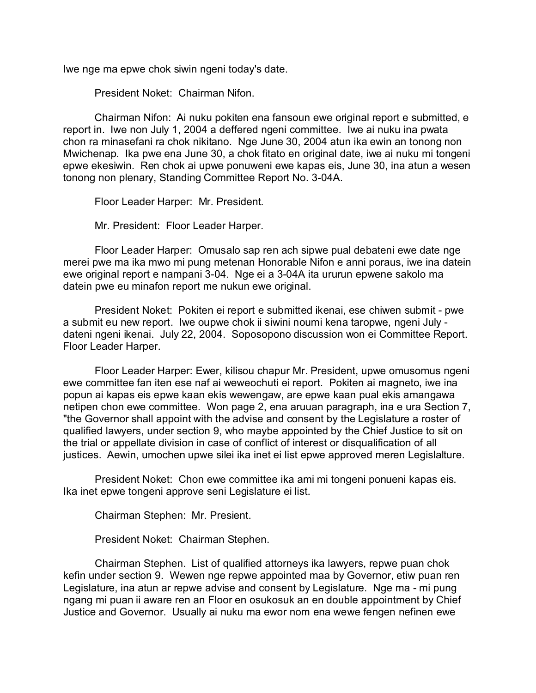Iwe nge ma epwe chok siwin ngeni today's date.

President Noket: Chairman Nifon.

Chairman Nifon: Ai nuku pokiten ena fansoun ewe original report e submitted, e report in. Iwe non July 1, 2004 a deffered ngeni committee. Iwe ai nuku ina pwata chon ra minasefani ra chok nikitano. Nge June 30, 2004 atun ika ewin an tonong non Mwichenap. Ika pwe ena June 30, a chok fitato en original date, iwe ai nuku mi tongeni epwe ekesiwin. Ren chok ai upwe ponuweni ewe kapas eis, June 30, ina atun a wesen tonong non plenary, Standing Committee Report No. 3-04A.

Floor Leader Harper: Mr. President.

Mr. President: Floor Leader Harper.

Floor Leader Harper: Omusalo sap ren ach sipwe pual debateni ewe date nge merei pwe ma ika mwo mi pung metenan Honorable Nifon e anni poraus, iwe ina datein ewe original report e nampani 3-04. Nge ei a 3-04A ita ururun epwene sakolo ma datein pwe eu minafon report me nukun ewe original.

President Noket: Pokiten ei report e submitted ikenai, ese chiwen submit - pwe a submit eu new report. Iwe oupwe chok ii siwini noumi kena taropwe, ngeni July dateni ngeni ikenai. July 22, 2004. Soposopono discussion won ei Committee Report. Floor Leader Harper.

Floor Leader Harper: Ewer, kilisou chapur Mr. President, upwe omusomus ngeni ewe committee fan iten ese naf ai weweochuti ei report. Pokiten ai magneto, iwe ina popun ai kapas eis epwe kaan ekis wewengaw, are epwe kaan pual ekis amangawa netipen chon ewe committee. Won page 2, ena aruuan paragraph, ina e ura Section 7, "the Governor shall appoint with the advise and consent by the Legislature a roster of qualified lawyers, under section 9, who maybe appointed by the Chief Justice to sit on the trial or appellate division in case of conflict of interest or disqualification of all justices. Aewin, umochen upwe silei ika inet ei list epwe approved meren Legislalture.

President Noket: Chon ewe committee ika ami mi tongeni ponueni kapas eis. Ika inet epwe tongeni approve seni Legislature ei list.

Chairman Stephen: Mr. Presient.

President Noket: Chairman Stephen.

Chairman Stephen. List of qualified attorneys ika lawyers, repwe puan chok kefin under section 9. Wewen nge repwe appointed maa by Governor, etiw puan ren Legislature, ina atun ar repwe advise and consent by Legislature. Nge ma - mi pung ngang mi puan ii aware ren an Floor en osukosuk an en double appointment by Chief Justice and Governor. Usually ai nuku ma ewor nom ena wewe fengen nefinen ewe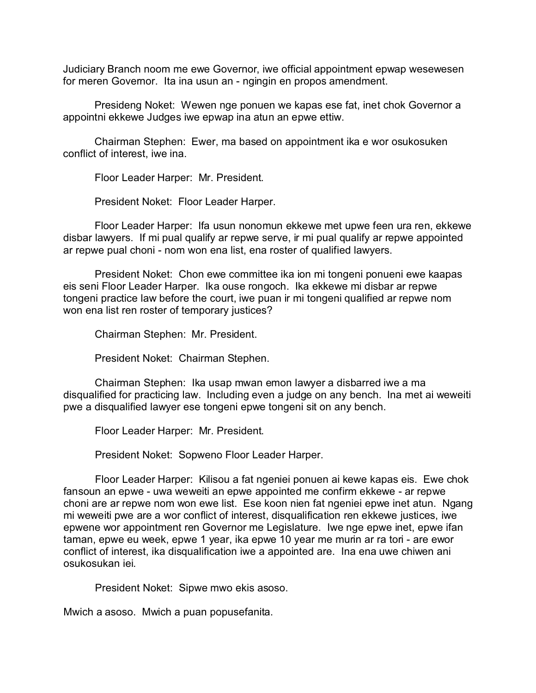Judiciary Branch noom me ewe Governor, iwe official appointment epwap wesewesen for meren Governor. Ita ina usun an - ngingin en propos amendment.

Presideng Noket: Wewen nge ponuen we kapas ese fat, inet chok Governor a appointni ekkewe Judges iwe epwap ina atun an epwe ettiw.

Chairman Stephen: Ewer, ma based on appointment ika e wor osukosuken conflict of interest, iwe ina.

Floor Leader Harper: Mr. President.

President Noket: Floor Leader Harper.

Floor Leader Harper: Ifa usun nonomun ekkewe met upwe feen ura ren, ekkewe disbar lawyers. If mi pual qualify ar repwe serve, ir mi pual qualify ar repwe appointed ar repwe pual choni - nom won ena list, ena roster of qualified lawyers.

President Noket: Chon ewe committee ika ion mi tongeni ponueni ewe kaapas eis seni Floor Leader Harper. Ika ouse rongoch. Ika ekkewe mi disbar ar repwe tongeni practice law before the court, iwe puan ir mi tongeni qualified ar repwe nom won ena list ren roster of temporary justices?

Chairman Stephen: Mr. President.

President Noket: Chairman Stephen.

Chairman Stephen: Ika usap mwan emon lawyer a disbarred iwe a ma disqualified for practicing law. Including even a judge on any bench. Ina met ai weweiti pwe a disqualified lawyer ese tongeni epwe tongeni sit on any bench.

Floor Leader Harper: Mr. President.

President Noket: Sopweno Floor Leader Harper.

Floor Leader Harper: Kilisou a fat ngeniei ponuen ai kewe kapas eis. Ewe chok fansoun an epwe - uwa weweiti an epwe appointed me confirm ekkewe - ar repwe choni are ar repwe nom won ewe list. Ese koon nien fat ngeniei epwe inet atun. Ngang mi weweiti pwe are a wor conflict of interest, disqualification ren ekkewe justices, iwe epwene wor appointment ren Governor me Legislature. Iwe nge epwe inet, epwe ifan taman, epwe eu week, epwe 1 year, ika epwe 10 year me murin ar ra tori - are ewor conflict of interest, ika disqualification iwe a appointed are. Ina ena uwe chiwen ani osukosukan iei.

President Noket: Sipwe mwo ekis asoso.

Mwich a asoso. Mwich a puan popusefanita.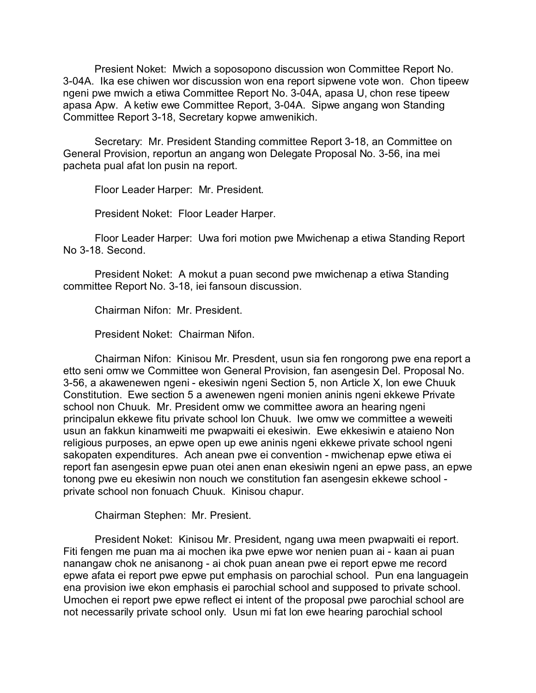Presient Noket: Mwich a soposopono discussion won Committee Report No. 3-04A. Ika ese chiwen wor discussion won ena report sipwene vote won. Chon tipeew ngeni pwe mwich a etiwa Committee Report No. 3-04A, apasa U, chon rese tipeew apasa Apw. A ketiw ewe Committee Report, 3-04A. Sipwe angang won Standing Committee Report 3-18, Secretary kopwe amwenikich.

Secretary: Mr. President Standing committee Report 3-18, an Committee on General Provision, reportun an angang won Delegate Proposal No. 3-56, ina mei pacheta pual afat lon pusin na report.

Floor Leader Harper: Mr. President.

President Noket: Floor Leader Harper.

Floor Leader Harper: Uwa fori motion pwe Mwichenap a etiwa Standing Report No 3-18. Second.

President Noket: A mokut a puan second pwe mwichenap a etiwa Standing committee Report No. 3-18, iei fansoun discussion.

Chairman Nifon: Mr. President.

President Noket: Chairman Nifon.

Chairman Nifon: Kinisou Mr. Presdent, usun sia fen rongorong pwe ena report a etto seni omw we Committee won General Provision, fan asengesin Del. Proposal No. 3-56, a akawenewen ngeni - ekesiwin ngeni Section 5, non Article X, lon ewe Chuuk Constitution. Ewe section 5 a awenewen ngeni monien aninis ngeni ekkewe Private school non Chuuk. Mr. President omw we committee awora an hearing ngeni principalun ekkewe fitu private school lon Chuuk. Iwe omw we committee a weweiti usun an fakkun kinamweiti me pwapwaiti ei ekesiwin. Ewe ekkesiwin e ataieno Non religious purposes, an epwe open up ewe aninis ngeni ekkewe private school ngeni sakopaten expenditures. Ach anean pwe ei convention - mwichenap epwe etiwa ei report fan asengesin epwe puan otei anen enan ekesiwin ngeni an epwe pass, an epwe tonong pwe eu ekesiwin non nouch we constitution fan asengesin ekkewe school private school non fonuach Chuuk. Kinisou chapur.

Chairman Stephen: Mr. Presient.

President Noket: Kinisou Mr. President, ngang uwa meen pwapwaiti ei report. Fiti fengen me puan ma ai mochen ika pwe epwe wor nenien puan ai - kaan ai puan nanangaw chok ne anisanong - ai chok puan anean pwe ei report epwe me record epwe afata ei report pwe epwe put emphasis on parochial school. Pun ena languagein ena provision iwe ekon emphasis ei parochial school and supposed to private school. Umochen ei report pwe epwe reflect ei intent of the proposal pwe parochial school are not necessarily private school only. Usun mi fat lon ewe hearing parochial school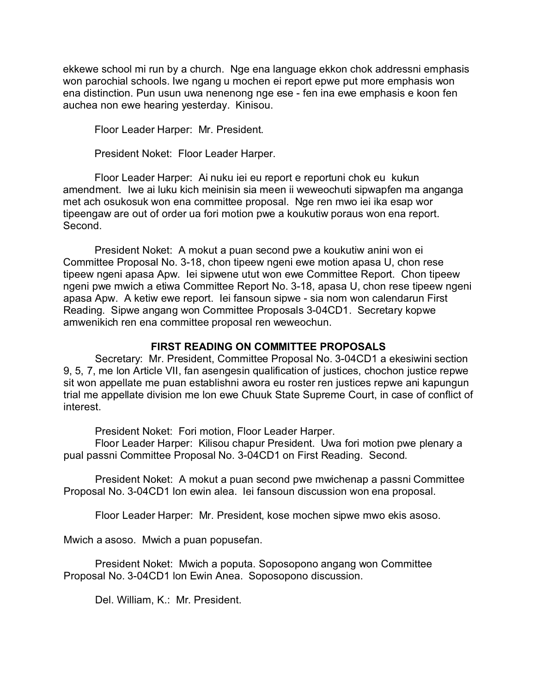ekkewe school mi run by a church. Nge ena language ekkon chok addressni emphasis won parochial schools. Iwe ngang u mochen ei report epwe put more emphasis won ena distinction. Pun usun uwa nenenong nge ese - fen ina ewe emphasis e koon fen auchea non ewe hearing yesterday. Kinisou.

Floor Leader Harper: Mr. President.

President Noket: Floor Leader Harper.

Floor Leader Harper: Ai nuku iei eu report e reportuni chok eu kukun amendment. Iwe ai luku kich meinisin sia meen ii weweochuti sipwapfen ma anganga met ach osukosuk won ena committee proposal. Nge ren mwo iei ika esap wor tipeengaw are out of order ua fori motion pwe a koukutiw poraus won ena report. Second.

President Noket: A mokut a puan second pwe a koukutiw anini won ei Committee Proposal No. 3-18, chon tipeew ngeni ewe motion apasa U, chon rese tipeew ngeni apasa Apw. Iei sipwene utut won ewe Committee Report. Chon tipeew ngeni pwe mwich a etiwa Committee Report No. 3-18, apasa U, chon rese tipeew ngeni apasa Apw. A ketiw ewe report. Iei fansoun sipwe - sia nom won calendarun First Reading. Sipwe angang won Committee Proposals 3-04CD1. Secretary kopwe amwenikich ren ena committee proposal ren weweochun.

#### **FIRST READING ON COMMITTEE PROPOSALS**

Secretary: Mr. President, Committee Proposal No. 3-04CD1 a ekesiwini section 9, 5, 7, me lon Article VII, fan asengesin qualification of justices, chochon justice repwe sit won appellate me puan establishni awora eu roster ren justices repwe ani kapungun trial me appellate division me lon ewe Chuuk State Supreme Court, in case of conflict of interest.

President Noket: Fori motion, Floor Leader Harper.

Floor Leader Harper: Kilisou chapur President. Uwa fori motion pwe plenary a pual passni Committee Proposal No. 3-04CD1 on First Reading. Second.

President Noket: A mokut a puan second pwe mwichenap a passni Committee Proposal No. 3-04CD1 lon ewin alea. Iei fansoun discussion won ena proposal.

Floor Leader Harper: Mr. President, kose mochen sipwe mwo ekis asoso.

Mwich a asoso. Mwich a puan popusefan.

President Noket: Mwich a poputa. Soposopono angang won Committee Proposal No. 3-04CD1 lon Ewin Anea. Soposopono discussion.

Del. William, K.: Mr. President.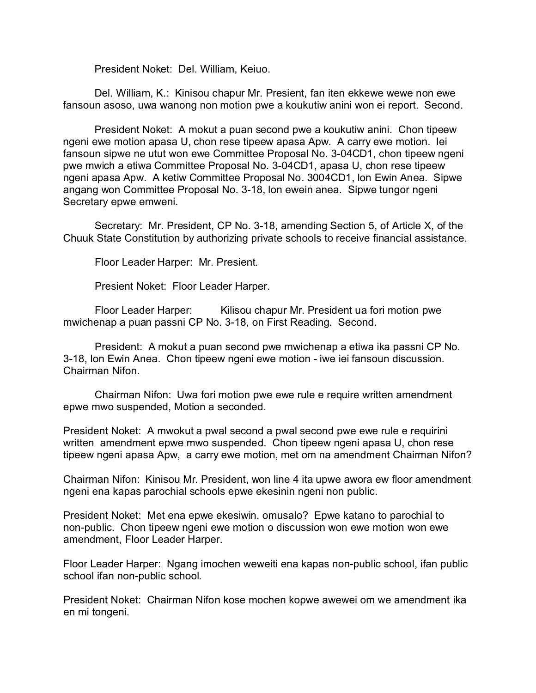President Noket: Del. William, Keiuo.

Del. William, K.: Kinisou chapur Mr. Presient, fan iten ekkewe wewe non ewe fansoun asoso, uwa wanong non motion pwe a koukutiw anini won ei report. Second.

President Noket: A mokut a puan second pwe a koukutiw anini. Chon tipeew ngeni ewe motion apasa U, chon rese tipeew apasa Apw. A carry ewe motion. Iei fansoun sipwe ne utut won ewe Committee Proposal No. 3-04CD1, chon tipeew ngeni pwe mwich a etiwa Committee Proposal No. 3-04CD1, apasa U, chon rese tipeew ngeni apasa Apw. A ketiw Committee Proposal No. 3004CD1, lon Ewin Anea. Sipwe angang won Committee Proposal No. 3-18, lon ewein anea. Sipwe tungor ngeni Secretary epwe emweni.

Secretary: Mr. President, CP No. 3-18, amending Section 5, of Article X, of the Chuuk State Constitution by authorizing private schools to receive financial assistance.

Floor Leader Harper: Mr. Presient.

Presient Noket: Floor Leader Harper.

Floor Leader Harper: Kilisou chapur Mr. President ua fori motion pwe mwichenap a puan passni CP No. 3-18, on First Reading. Second.

President: A mokut a puan second pwe mwichenap a etiwa ika passni CP No. 3-18, lon Ewin Anea. Chon tipeew ngeni ewe motion - iwe iei fansoun discussion. Chairman Nifon.

Chairman Nifon: Uwa fori motion pwe ewe rule e require written amendment epwe mwo suspended, Motion a seconded.

President Noket: A mwokut a pwal second a pwal second pwe ewe rule e requirini written amendment epwe mwo suspended. Chon tipeew ngeni apasa U, chon rese tipeew ngeni apasa Apw, a carry ewe motion, met om na amendment Chairman Nifon?

Chairman Nifon: Kinisou Mr. President, won line 4 ita upwe awora ew floor amendment ngeni ena kapas parochial schools epwe ekesinin ngeni non public.

President Noket: Met ena epwe ekesiwin, omusalo? Epwe katano to parochial to non-public. Chon tipeew ngeni ewe motion o discussion won ewe motion won ewe amendment, Floor Leader Harper.

Floor Leader Harper: Ngang imochen weweiti ena kapas non-public school, ifan public school ifan non-public school.

President Noket: Chairman Nifon kose mochen kopwe awewei om we amendment ika en mi tongeni.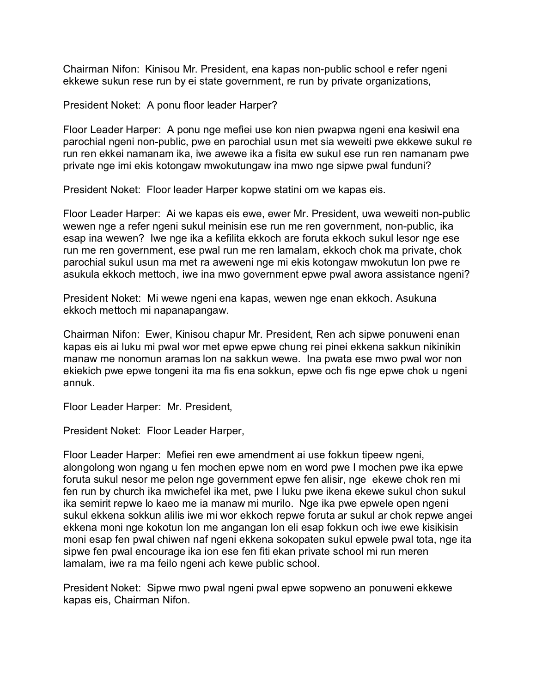Chairman Nifon: Kinisou Mr. President, ena kapas non-public school e refer ngeni ekkewe sukun rese run by ei state government, re run by private organizations,

President Noket: A ponu floor leader Harper?

Floor Leader Harper: A ponu nge mefiei use kon nien pwapwa ngeni ena kesiwil ena parochial ngeni non-public, pwe en parochial usun met sia weweiti pwe ekkewe sukul re run ren ekkei namanam ika, iwe awewe ika a fisita ew sukul ese run ren namanam pwe private nge imi ekis kotongaw mwokutungaw ina mwo nge sipwe pwal funduni?

President Noket: Floor leader Harper kopwe statini om we kapas eis.

Floor Leader Harper: Ai we kapas eis ewe, ewer Mr. President, uwa weweiti non-public wewen nge a refer ngeni sukul meinisin ese run me ren government, non-public, ika esap ina wewen? Iwe nge ika a kefilita ekkoch are foruta ekkoch sukul lesor nge ese run me ren government, ese pwal run me ren lamalam, ekkoch chok ma private, chok parochial sukul usun ma met ra aweweni nge mi ekis kotongaw mwokutun lon pwe re asukula ekkoch mettoch, iwe ina mwo government epwe pwal awora assistance ngeni?

President Noket: Mi wewe ngeni ena kapas, wewen nge enan ekkoch. Asukuna ekkoch mettoch mi napanapangaw.

Chairman Nifon: Ewer, Kinisou chapur Mr. President, Ren ach sipwe ponuweni enan kapas eis ai luku mi pwal wor met epwe epwe chung rei pinei ekkena sakkun nikinikin manaw me nonomun aramas lon na sakkun wewe. Ina pwata ese mwo pwal wor non ekiekich pwe epwe tongeni ita ma fis ena sokkun, epwe och fis nge epwe chok u ngeni annuk.

Floor Leader Harper: Mr. President,

President Noket: Floor Leader Harper,

Floor Leader Harper: Mefiei ren ewe amendment ai use fokkun tipeew ngeni, alongolong won ngang u fen mochen epwe nom en word pwe I mochen pwe ika epwe foruta sukul nesor me pelon nge government epwe fen alisir, nge ekewe chok ren mi fen run by church ika mwichefel ika met, pwe I luku pwe ikena ekewe sukul chon sukul ika semirit repwe lo kaeo me ia manaw mi murilo. Nge ika pwe epwele open ngeni sukul ekkena sokkun alilis iwe mi wor ekkoch repwe foruta ar sukul ar chok repwe angei ekkena moni nge kokotun lon me angangan lon eli esap fokkun och iwe ewe kisikisin moni esap fen pwal chiwen naf ngeni ekkena sokopaten sukul epwele pwal tota, nge ita sipwe fen pwal encourage ika ion ese fen fiti ekan private school mi run meren lamalam, iwe ra ma feilo ngeni ach kewe public school.

President Noket: Sipwe mwo pwal ngeni pwal epwe sopweno an ponuweni ekkewe kapas eis, Chairman Nifon.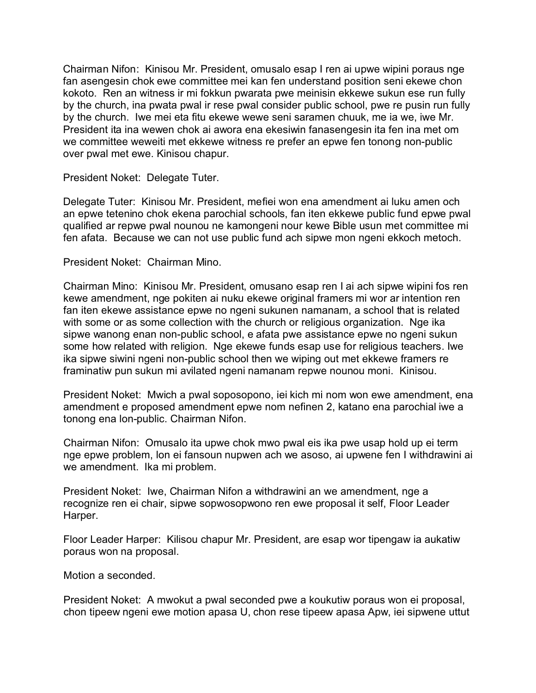Chairman Nifon: Kinisou Mr. President, omusalo esap I ren ai upwe wipini poraus nge fan asengesin chok ewe committee mei kan fen understand position seni ekewe chon kokoto. Ren an witness ir mi fokkun pwarata pwe meinisin ekkewe sukun ese run fully by the church, ina pwata pwal ir rese pwal consider public school, pwe re pusin run fully by the church. Iwe mei eta fitu ekewe wewe seni saramen chuuk, me ia we, iwe Mr. President ita ina wewen chok ai awora ena ekesiwin fanasengesin ita fen ina met om we committee weweiti met ekkewe witness re prefer an epwe fen tonong non-public over pwal met ewe. Kinisou chapur.

President Noket: Delegate Tuter.

Delegate Tuter: Kinisou Mr. President, mefiei won ena amendment ai luku amen och an epwe tetenino chok ekena parochial schools, fan iten ekkewe public fund epwe pwal qualified ar repwe pwal nounou ne kamongeni nour kewe Bible usun met committee mi fen afata. Because we can not use public fund ach sipwe mon ngeni ekkoch metoch.

President Noket: Chairman Mino.

Chairman Mino: Kinisou Mr. President, omusano esap ren I ai ach sipwe wipini fos ren kewe amendment, nge pokiten ai nuku ekewe original framers mi wor ar intention ren fan iten ekewe assistance epwe no ngeni sukunen namanam, a school that is related with some or as some collection with the church or religious organization. Nge ika sipwe wanong enan non-public school, e afata pwe assistance epwe no ngeni sukun some how related with religion. Nge ekewe funds esap use for religious teachers. Iwe ika sipwe siwini ngeni non-public school then we wiping out met ekkewe framers re framinatiw pun sukun mi avilated ngeni namanam repwe nounou moni. Kinisou.

President Noket: Mwich a pwal soposopono, iei kich mi nom won ewe amendment, ena amendment e proposed amendment epwe nom nefinen 2, katano ena parochial iwe a tonong ena lon-public. Chairman Nifon.

Chairman Nifon: Omusalo ita upwe chok mwo pwal eis ika pwe usap hold up ei term nge epwe problem, lon ei fansoun nupwen ach we asoso, ai upwene fen I withdrawini ai we amendment. Ika mi problem.

President Noket: Iwe, Chairman Nifon a withdrawini an we amendment, nge a recognize ren ei chair, sipwe sopwosopwono ren ewe proposal it self, Floor Leader Harper.

Floor Leader Harper: Kilisou chapur Mr. President, are esap wor tipengaw ia aukatiw poraus won na proposal.

Motion a seconded.

President Noket: A mwokut a pwal seconded pwe a koukutiw poraus won ei proposal, chon tipeew ngeni ewe motion apasa U, chon rese tipeew apasa Apw, iei sipwene uttut